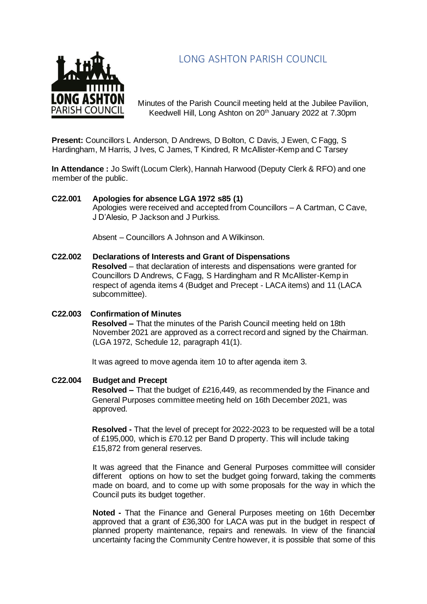# LONG ASHTON PARISH COUNCIL



Minutes of the Parish Council meeting held at the Jubilee Pavilion, Keedwell Hill, Long Ashton on 20<sup>th</sup> January 2022 at 7.30pm

**Present:** Councillors L Anderson, D Andrews, D Bolton, C Davis, J Ewen, C Fagg, S Hardingham, M Harris, J Ives, C James, T Kindred, R McAllister-Kemp and C Tarsey

**In Attendance :** Jo Swift (Locum Clerk), Hannah Harwood (Deputy Clerk & RFO) and one member of the public.

## **C22.001 Apologies for absence LGA 1972 s85 (1)**

Apologies were received and accepted from Councillors – A Cartman, C Cave, J D'Alesio, P Jackson and J Purkiss.

Absent – Councillors A Johnson and A Wilkinson.

- **C22.002 Declarations of Interests and Grant of Dispensations Resolved** – that declaration of interests and dispensations were granted for Councillors D Andrews, C Fagg, S Hardingham and R McAllister-Kemp in respect of agenda items 4 (Budget and Precept - LACA items) and 11 (LACA subcommittee).
- **C22.003 Confirmation of Minutes Resolved –** That the minutes of the Parish Council meeting held on 18th November 2021 are approved as a correct record and signed by the Chairman. (LGA 1972, Schedule 12, paragraph 41(1).

It was agreed to move agenda item 10 to after agenda item 3.

#### **C22.004 Budget and Precept**

**Resolved –** That the budget of £216,449, as recommended by the Finance and General Purposes committee meeting held on 16th December 2021, was approved.

**Resolved -** That the level of precept for 2022-2023 to be requested will be a total of £195,000, which is £70.12 per Band D property. This will include taking £15,872 from general reserves.

It was agreed that the Finance and General Purposes committee will consider different options on how to set the budget going forward, taking the comments made on board, and to come up with some proposals for the way in which the Council puts its budget together.

**Noted -** That the Finance and General Purposes meeting on 16th December approved that a grant of £36,300 for LACA was put in the budget in respect of planned property maintenance, repairs and renewals. In view of the financial uncertainty facing the Community Centre however, it is possible that some of this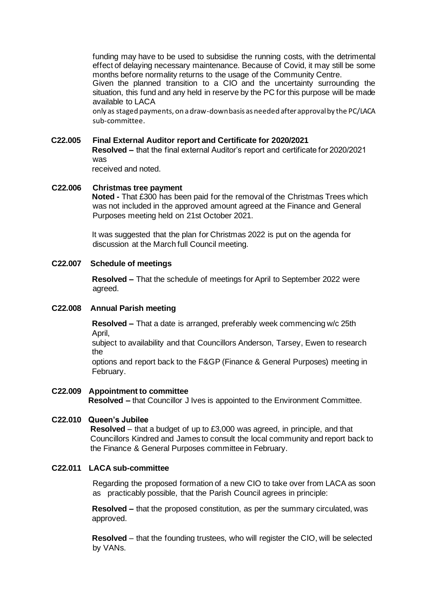funding may have to be used to subsidise the running costs, with the detrimental effect of delaying necessary maintenance. Because of Covid, it may still be some months before normality returns to the usage of the Community Centre. Given the planned transition to a CIO and the uncertainty surrounding the situation, this fund and any held in reserve by the PC for this purpose will be made available to LACA only as staged payments, on a draw-down basis as needed after approval by the PC/LACA

sub-committee.

# **C22.005 Final External Auditor report and Certificate for 2020/2021**

**Resolved –** that the final external Auditor's report and certificate for 2020/2021 was

received and noted.

### **C22.006 Christmas tree payment Noted -** That £300 has been paid for the removal of the Christmas Trees which was not included in the approved amount agreed at the Finance and General Purposes meeting held on 21st October 2021.

It was suggested that the plan for Christmas 2022 is put on the agenda for discussion at the March full Council meeting.

## **C22.007 Schedule of meetings**

**Resolved –** That the schedule of meetings for April to September 2022 were agreed.

#### **C22.008 Annual Parish meeting**

**Resolved –** That a date is arranged, preferably week commencing w/c 25th April,

subject to availability and that Councillors Anderson, Tarsey, Ewen to research the

options and report back to the F&GP (Finance & General Purposes) meeting in February.

#### **C22.009 Appointment to committee Resolved –** that Councillor J Ives is appointed to the Environment Committee.

## **C22.010 Queen's Jubilee**

**Resolved** – that a budget of up to £3,000 was agreed, in principle, and that Councillors Kindred and James to consult the local community and report back to the Finance & General Purposes committee in February.

## **C22.011 LACA sub-committee**

Regarding the proposed formation of a new CIO to take over from LACA as soon as practicably possible, that the Parish Council agrees in principle:

**Resolved –** that the proposed constitution, as per the summary circulated, was approved.

**Resolved** – that the founding trustees, who will register the CIO, will be selected by VANs.